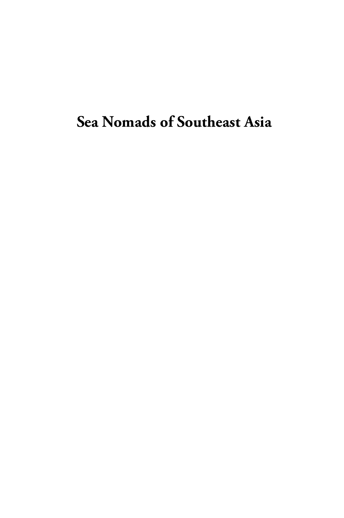# **Sea Nomads of Southeast Asia**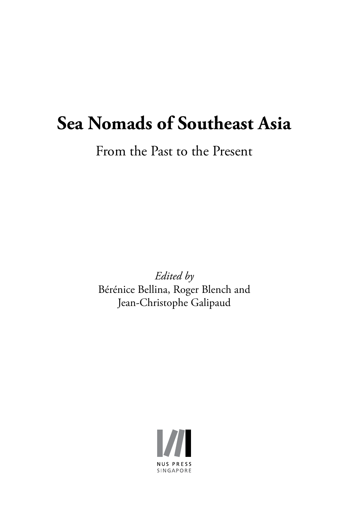# **Sea Nomads of Southeast Asia**

From the Past to the Present

*Edited by*  Bérénice Bellina, Roger Blench and Jean-Christophe Galipaud

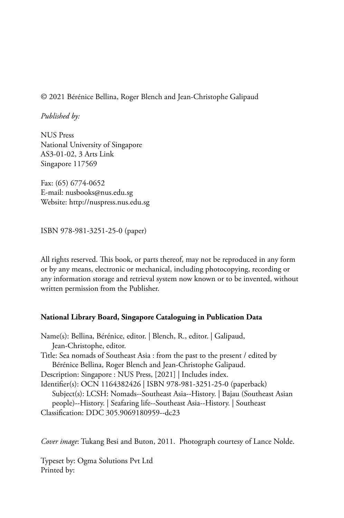#### © 2021 Bérénice Bellina, Roger Blench and Jean-Christophe Galipaud

*Published by:*

NUS Press National University of Singapore AS3-01-02, 3 Arts Link Singapore 117569

Fax: (65) 6774-0652 E-mail: nusbooks@nus.edu.sg Website: http://nuspress.nus.edu.sg

ISBN 978-981-3251-25-0 (paper)

All rights reserved. This book, or parts thereof, may not be reproduced in any form or by any means, electronic or mechanical, including photocopying, recording or any information storage and retrieval system now known or to be invented, without written permission from the Publisher.

#### **National Library Board, Singapore Cataloguing in Publication Data**

Name(s): Bellina, Bérénice, editor. | Blench, R., editor. | Galipaud, Jean-Christophe, editor. Title: Sea nomads of Southeast Asia : from the past to the present / edited by Bérénice Bellina, Roger Blench and Jean-Christophe Galipaud. Description: Singapore : NUS Press, [2021] | Includes index. Identifier(s): OCN 1164382426 | ISBN 978-981-3251-25-0 (paperback) Subject(s): LCSH: Nomads--Southeast Asia--History. | Bajau (Southeast Asian people)--History. | Seafaring life--Southeast Asia--History. | Southeast Classification: DDC 305.9069180959--dc23

*Cover image*: Tukang Besi and Buton, 2011. Photograph courtesy of Lance Nolde.

Typeset by: Ogma Solutions Pvt Ltd Printed by: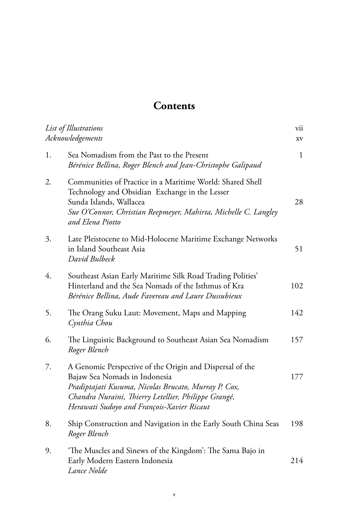## **Contents**

| List of Illustrations<br>Acknowledgements |                                                                                                                                                                                                                                                         | vii<br>XV    |
|-------------------------------------------|---------------------------------------------------------------------------------------------------------------------------------------------------------------------------------------------------------------------------------------------------------|--------------|
| 1.                                        | Sea Nomadism from the Past to the Present<br>Bérénice Bellina, Roger Blench and Jean-Christophe Galipaud                                                                                                                                                | $\mathbf{1}$ |
| 2.                                        | Communities of Practice in a Maritime World: Shared Shell<br>Technology and Obsidian Exchange in the Lesser<br>Sunda Islands, Wallacea<br>Sue O'Connor, Christian Reepmeyer, Mahirta, Michelle C. Langley<br>and Elena Piotto                           | 28           |
| 3.                                        | Late Pleistocene to Mid-Holocene Maritime Exchange Networks<br>in Island Southeast Asia<br>David Bulbeck                                                                                                                                                | 51           |
| 4.                                        | Southeast Asian Early Maritime Silk Road Trading Polities'<br>Hinterland and the Sea Nomads of the Isthmus of Kra<br>Bérénice Bellina, Aude Favereau and Laure Dussubieux                                                                               | 102          |
| 5.                                        | The Orang Suku Laut: Movement, Maps and Mapping<br>Cynthia Chou                                                                                                                                                                                         | 142          |
| 6.                                        | The Linguistic Background to Southeast Asian Sea Nomadism<br>Roger Blench                                                                                                                                                                               | 157          |
| 7.                                        | A Genomic Perspective of the Origin and Dispersal of the<br>Bajaw Sea Nomads in Indonesia<br>Pradiptajati Kusuma, Nicolas Brucato, Murray P. Cox,<br>Chandra Nuraini, Thierry Letellier, Philippe Grangé,<br>Herawati Sudoyo and François-Xavier Ricaut | 177          |
| 8.                                        | Ship Construction and Navigation in the Early South China Seas<br>Roger Blench                                                                                                                                                                          | 198          |
| 9.                                        | 'The Muscles and Sinews of the Kingdom': The Sama Bajo in<br>Early Modern Eastern Indonesia<br>Lance Nolde                                                                                                                                              | 214          |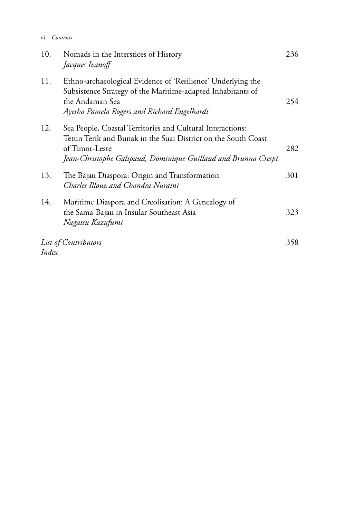| vi    | Contents                                                                                                                                                                                                        |     |
|-------|-----------------------------------------------------------------------------------------------------------------------------------------------------------------------------------------------------------------|-----|
| 10.   | Nomads in the Interstices of History<br>Jacques Ivanoff                                                                                                                                                         | 236 |
| 11.   | Ethno-archaeological Evidence of 'Resilience' Underlying the<br>Subsistence Strategy of the Maritime-adapted Inhabitants of<br>the Andaman Sea<br>Ayesha Pamela Rogers and Richard Engelhardt                   | 254 |
| 12.   | Sea People, Coastal Territories and Cultural Interactions:<br>Tetun Terik and Bunak in the Suai District on the South Coast<br>of Timor-Leste<br>Jean-Christophe Galipaud, Dominique Guillaud and Brunna Crespi | 282 |
| 13.   | The Bajau Diaspora: Origin and Transformation<br>Charles Illouz and Chandra Nuraini                                                                                                                             | 301 |
| 14.   | Maritime Diaspora and Creolisation: A Genealogy of<br>the Sama-Bajau in Insular Southeast Asia<br>Nagatsu Kazufumi                                                                                              | 323 |
| Index | List of Contributors                                                                                                                                                                                            | 358 |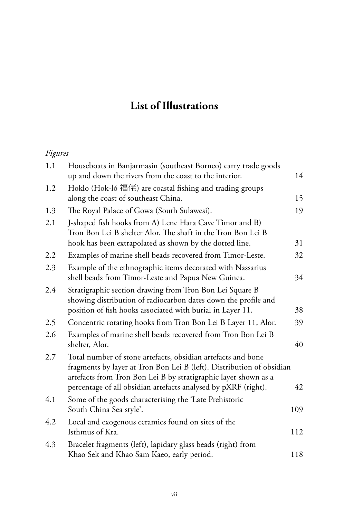## **List of Illustrations**

### *Figures*

| 1.1 | Houseboats in Banjarmasin (southeast Borneo) carry trade goods<br>up and down the rivers from the coast to the interior.                                                                                                                                                   | 14  |
|-----|----------------------------------------------------------------------------------------------------------------------------------------------------------------------------------------------------------------------------------------------------------------------------|-----|
| 1.2 | Hoklo (Hok-ló 福佬) are coastal fishing and trading groups<br>along the coast of southeast China.                                                                                                                                                                            | 15  |
| 1.3 | The Royal Palace of Gowa (South Sulawesi).                                                                                                                                                                                                                                 | 19  |
| 2.1 | J-shaped fish hooks from A) Lene Hara Cave Timor and B)<br>Tron Bon Lei B shelter Alor. The shaft in the Tron Bon Lei B<br>hook has been extrapolated as shown by the dotted line.                                                                                         | 31  |
| 2.2 | Examples of marine shell beads recovered from Timor-Leste.                                                                                                                                                                                                                 | 32  |
| 2.3 | Example of the ethnographic items decorated with Nassarius<br>shell beads from Timor-Leste and Papua New Guinea.                                                                                                                                                           | 34  |
| 2.4 | Stratigraphic section drawing from Tron Bon Lei Square B<br>showing distribution of radiocarbon dates down the profile and<br>position of fish hooks associated with burial in Layer 11.                                                                                   | 38  |
| 2.5 | Concentric rotating hooks from Tron Bon Lei B Layer 11, Alor.                                                                                                                                                                                                              | 39  |
| 2.6 | Examples of marine shell beads recovered from Tron Bon Lei B<br>shelter, Alor.                                                                                                                                                                                             | 40  |
| 2.7 | Total number of stone artefacts, obsidian artefacts and bone<br>fragments by layer at Tron Bon Lei B (left). Distribution of obsidian<br>artefacts from Tron Bon Lei B by stratigraphic layer shown as a<br>percentage of all obsidian artefacts analysed by pXRF (right). | 42  |
| 4.1 | Some of the goods characterising the 'Late Prehistoric<br>South China Sea style'.                                                                                                                                                                                          | 109 |
| 4.2 | Local and exogenous ceramics found on sites of the<br>Isthmus of Kra.                                                                                                                                                                                                      | 112 |
| 4.3 | Bracelet fragments (left), lapidary glass beads (right) from<br>Khao Sek and Khao Sam Kaeo, early period.                                                                                                                                                                  | 118 |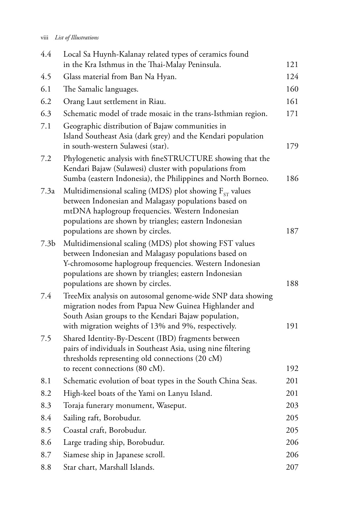| 4.4              | Local Sa Huynh-Kalanay related types of ceramics found<br>in the Kra Isthmus in the Thai-Malay Peninsula.                                                                                                                                                              | 121        |
|------------------|------------------------------------------------------------------------------------------------------------------------------------------------------------------------------------------------------------------------------------------------------------------------|------------|
| 4.5              | Glass material from Ban Na Hyan.                                                                                                                                                                                                                                       | 124        |
| 6.1              | The Samalic languages.                                                                                                                                                                                                                                                 | 160        |
| 6.2              | Orang Laut settlement in Riau.                                                                                                                                                                                                                                         | 161        |
| 6.3              | Schematic model of trade mosaic in the trans-Isthmian region.                                                                                                                                                                                                          | 171        |
| 7.1              | Geographic distribution of Bajaw communities in<br>Island Southeast Asia (dark grey) and the Kendari population<br>in south-western Sulawesi (star).                                                                                                                   | 179        |
| 7.2              | Phylogenetic analysis with fineSTRUCTURE showing that the<br>Kendari Bajaw (Sulawesi) cluster with populations from<br>Sumba (eastern Indonesia), the Philippines and North Borneo.                                                                                    | 186        |
| 7.3a             | Multidimensional scaling (MDS) plot showing $F_{ST}$ values<br>between Indonesian and Malagasy populations based on<br>mtDNA haplogroup frequencies. Western Indonesian<br>populations are shown by triangles; eastern Indonesian<br>populations are shown by circles. | 187        |
| 7.3 <sub>b</sub> | Multidimensional scaling (MDS) plot showing FST values<br>between Indonesian and Malagasy populations based on<br>Y-chromosome haplogroup frequencies. Western Indonesian<br>populations are shown by triangles; eastern Indonesian                                    |            |
| 7.4              | populations are shown by circles.<br>TreeMix analysis on autosomal genome-wide SNP data showing<br>migration nodes from Papua New Guinea Highlander and<br>South Asian groups to the Kendari Bajaw population,                                                         | 188        |
| 7.5              | with migration weights of 13% and 9%, respectively.<br>Shared Identity-By-Descent (IBD) fragments between<br>pairs of individuals in Southeast Asia, using nine filtering<br>thresholds representing old connections (20 cM)<br>to recent connections (80 cM).         | 191<br>192 |
| 8.1              | Schematic evolution of boat types in the South China Seas.                                                                                                                                                                                                             | 201        |
| 8.2              | High-keel boats of the Yami on Lanyu Island.                                                                                                                                                                                                                           | 201        |
| 8.3              | Toraja funerary monument, Waseput.                                                                                                                                                                                                                                     | 203        |
| 8.4              | Sailing raft, Borobudur.                                                                                                                                                                                                                                               | 205        |
| 8.5              | Coastal craft, Borobudur.                                                                                                                                                                                                                                              | 205        |
| 8.6              | Large trading ship, Borobudur.                                                                                                                                                                                                                                         | 206        |
| 8.7              | Siamese ship in Japanese scroll.                                                                                                                                                                                                                                       | 206        |
| 8.8              | Star chart, Marshall Islands.                                                                                                                                                                                                                                          | 207        |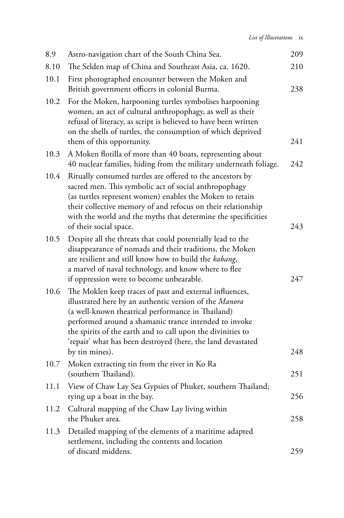| 8.9  | Astro-navigation chart of the South China Sea.                                                                                                                                                                                                                                                                                                                                  | 209 |
|------|---------------------------------------------------------------------------------------------------------------------------------------------------------------------------------------------------------------------------------------------------------------------------------------------------------------------------------------------------------------------------------|-----|
| 8.10 | The Selden map of China and Southeast Asia, ca. 1620.                                                                                                                                                                                                                                                                                                                           | 210 |
| 10.1 | First photographed encounter between the Moken and<br>British government officers in colonial Burma.                                                                                                                                                                                                                                                                            | 238 |
| 10.2 | For the Moken, harpooning turtles symbolises harpooning<br>women, an act of cultural anthropophagy, as well as their<br>refusal of literacy, as script is believed to have been written<br>on the shells of turtles, the consumption of which deprived<br>them of this opportunity.                                                                                             | 241 |
| 10.3 | A Moken flotilla of more than 40 boats, representing about<br>40 nuclear families, hiding from the military underneath foliage.                                                                                                                                                                                                                                                 | 242 |
| 10.4 | Ritually consumed turtles are offered to the ancestors by<br>sacred men. This symbolic act of social anthropophagy<br>(as turtles represent women) enables the Moken to retain<br>their collective memory of and refocus on their relationship<br>with the world and the myths that determine the specificities<br>of their social space.                                       | 243 |
| 10.5 | Despite all the threats that could potentially lead to the<br>disappearance of nomads and their traditions, the Moken<br>are resilient and still know how to build the kabang,<br>a marvel of naval technology, and know where to flee<br>if oppression were to become unbearable.                                                                                              | 247 |
| 10.6 | The Moklen keep traces of past and external influences,<br>illustrated here by an authentic version of the Manora<br>(a well-known theatrical performance in Thailand)<br>performed around a shamanic trance intended to invoke<br>the spirits of the earth and to call upon the divinities to<br>'repair' what has been destroyed (here, the land devastated<br>by tin mines). | 248 |
| 10.7 | Moken extracting tin from the river in Ko Ra<br>(southern Thailand).                                                                                                                                                                                                                                                                                                            | 251 |
| 11.1 | View of Chaw Lay Sea Gypsies of Phuket, southern Thailand;<br>tying up a boat in the bay.                                                                                                                                                                                                                                                                                       | 256 |
| 11.2 | Cultural mapping of the Chaw Lay living within<br>the Phuket area.                                                                                                                                                                                                                                                                                                              | 258 |
| 11.3 | Detailed mapping of the elements of a maritime adapted<br>settlement, including the contents and location                                                                                                                                                                                                                                                                       |     |
|      | of discard middens.                                                                                                                                                                                                                                                                                                                                                             | 259 |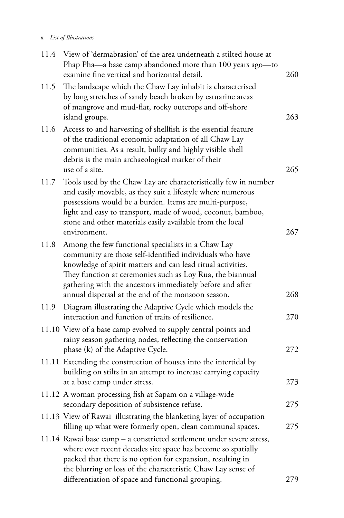### x *List of Illustrations*

| 11.4 | View of 'dermabrasion' of the area underneath a stilted house at<br>Phap Pha-a base camp abandoned more than 100 years ago-to<br>examine fine vertical and horizontal detail.                                                                                                                                                                                 | 260 |
|------|---------------------------------------------------------------------------------------------------------------------------------------------------------------------------------------------------------------------------------------------------------------------------------------------------------------------------------------------------------------|-----|
| 11.5 | The landscape which the Chaw Lay inhabit is characterised<br>by long stretches of sandy beach broken by estuarine areas<br>of mangrove and mud-flat, rocky outcrops and off-shore<br>island groups.                                                                                                                                                           | 263 |
| 11.6 | Access to and harvesting of shellfish is the essential feature<br>of the traditional economic adaptation of all Chaw Lay<br>communities. As a result, bulky and highly visible shell<br>debris is the main archaeological marker of their<br>use of a site.                                                                                                   | 265 |
| 11.7 | Tools used by the Chaw Lay are characteristically few in number<br>and easily movable, as they suit a lifestyle where numerous<br>possessions would be a burden. Items are multi-purpose,<br>light and easy to transport, made of wood, coconut, bamboo,<br>stone and other materials easily available from the local<br>environment.                         | 267 |
| 11.8 | Among the few functional specialists in a Chaw Lay<br>community are those self-identified individuals who have<br>knowledge of spirit matters and can lead ritual activities.<br>They function at ceremonies such as Loy Rua, the biannual<br>gathering with the ancestors immediately before and after<br>annual dispersal at the end of the monsoon season. | 268 |
| 11.9 | Diagram illustrating the Adaptive Cycle which models the<br>interaction and function of traits of resilience.                                                                                                                                                                                                                                                 | 270 |
|      | 11.10 View of a base camp evolved to supply central points and<br>rainy season gathering nodes, reflecting the conservation<br>phase (k) of the Adaptive Cycle.                                                                                                                                                                                               | 272 |
|      | 11.11 Extending the construction of houses into the intertidal by<br>building on stilts in an attempt to increase carrying capacity<br>at a base camp under stress.                                                                                                                                                                                           | 273 |
|      | 11.12 A woman processing fish at Sapam on a village-wide<br>secondary deposition of subsistence refuse.                                                                                                                                                                                                                                                       | 275 |
|      | 11.13 View of Rawai illustrating the blanketing layer of occupation<br>filling up what were formerly open, clean communal spaces.                                                                                                                                                                                                                             | 275 |
|      | 11.14 Rawai base camp - a constricted settlement under severe stress,<br>where over recent decades site space has become so spatially<br>packed that there is no option for expansion, resulting in<br>the blurring or loss of the characteristic Chaw Lay sense of                                                                                           |     |
|      | differentiation of space and functional grouping.                                                                                                                                                                                                                                                                                                             | 279 |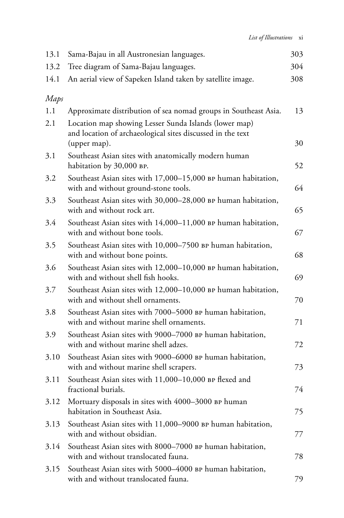*List of Illustrations* xi

| 13.1 | Sama-Bajau in all Austronesian languages.                                                                                           | 303 |
|------|-------------------------------------------------------------------------------------------------------------------------------------|-----|
| 13.2 | Tree diagram of Sama-Bajau languages.                                                                                               | 304 |
| 14.1 | An aerial view of Sapeken Island taken by satellite image.                                                                          | 308 |
| Maps |                                                                                                                                     |     |
| 1.1  | Approximate distribution of sea nomad groups in Southeast Asia.                                                                     | 13  |
| 2.1  | Location map showing Lesser Sunda Islands (lower map)<br>and location of archaeological sites discussed in the text<br>(upper map). | 30  |
| 3.1  | Southeast Asian sites with anatomically modern human<br>habitation by 30,000 BP.                                                    | 52  |
| 3.2  | Southeast Asian sites with 17,000-15,000 BP human habitation,<br>with and without ground-stone tools.                               | 64  |
| 3.3  | Southeast Asian sites with 30,000-28,000 BP human habitation,<br>with and without rock art.                                         | 65  |
| 3.4  | Southeast Asian sites with 14,000-11,000 BP human habitation,<br>with and without bone tools.                                       | 67  |
| 3.5  | Southeast Asian sites with 10,000-7500 BP human habitation,<br>with and without bone points.                                        | 68  |
| 3.6  | Southeast Asian sites with 12,000-10,000 BP human habitation,<br>with and without shell fish hooks.                                 | 69  |
| 3.7  | Southeast Asian sites with 12,000-10,000 BP human habitation,<br>with and without shell ornaments.                                  | 70  |
| 3.8  | Southeast Asian sites with 7000-5000 BP human habitation,<br>with and without marine shell ornaments.                               | 71  |
| 3.9  | Southeast Asian sites with 9000-7000 BP human habitation,<br>with and without marine shell adzes.                                   | 72  |
| 3.10 | Southeast Asian sites with 9000–6000 BP human habitation,<br>with and without marine shell scrapers.                                | 73  |
| 3.11 | Southeast Asian sites with 11,000-10,000 BP flexed and<br>fractional burials.                                                       | 74  |
| 3.12 | Mortuary disposals in sites with 4000-3000 BP human<br>habitation in Southeast Asia.                                                | 75  |
| 3.13 | Southeast Asian sites with 11,000-9000 BP human habitation,<br>with and without obsidian.                                           | 77  |
| 3.14 | Southeast Asian sites with 8000–7000 BP human habitation,<br>with and without translocated fauna.                                   | 78  |
| 3.15 | Southeast Asian sites with 5000–4000 BP human habitation,<br>with and without translocated fauna.                                   | 79  |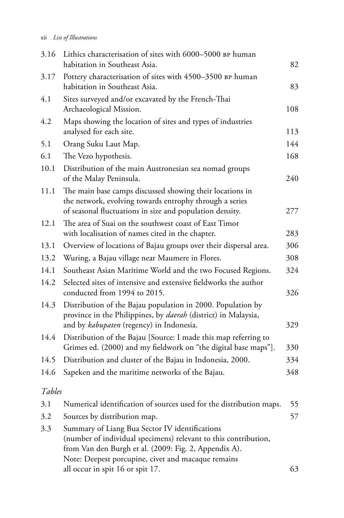### xii *List of Illustrations*

| 3.16   | Lithics characterisation of sites with 6000-5000 BP human<br>habitation in Southeast Asia.                                                                                       | 82  |
|--------|----------------------------------------------------------------------------------------------------------------------------------------------------------------------------------|-----|
| 3.17   | Pottery characterisation of sites with 4500-3500 BP human<br>habitation in Southeast Asia.                                                                                       | 83  |
| 4.1    | Sites surveyed and/or excavated by the French-Thai<br>Archaeological Mission.                                                                                                    | 108 |
| 4.2    | Maps showing the location of sites and types of industries<br>analysed for each site.                                                                                            | 113 |
| 5.1    | Orang Suku Laut Map.                                                                                                                                                             | 144 |
| 6.1    | The Vezo hypothesis.                                                                                                                                                             | 168 |
| 10.1   | Distribution of the main Austronesian sea nomad groups<br>of the Malay Peninsula.                                                                                                | 240 |
| 11.1   | The main base camps discussed showing their locations in<br>the network, evolving towards entrophy through a series<br>of seasonal fluctuations in size and population density.  | 277 |
| 12.1   | The area of Suai on the southwest coast of East Timor<br>with localisation of names cited in the chapter.                                                                        | 283 |
| 13.1   | Overview of locations of Bajau groups over their dispersal area.                                                                                                                 | 306 |
| 13.2   | Wuring, a Bajau village near Maumere in Flores.                                                                                                                                  | 308 |
| 14.1   | Southeast Asian Maritime World and the two Focused Regions.                                                                                                                      | 324 |
| 14.2   | Selected sites of intensive and extensive fieldworks the author<br>conducted from 1994 to 2015.                                                                                  | 326 |
| 14.3   | Distribution of the Bajau population in 2000. Population by<br>province in the Philippines, by <i>daerah</i> (district) in Malaysia,<br>and by kabupaten (regency) in Indonesia. | 329 |
| 14.4   | Distribution of the Bajau [Source: I made this map referring to<br>Grimes ed. (2000) and my fieldwork on "the digital base maps"].                                               | 330 |
| 14.5   | Distribution and cluster of the Bajau in Indonesia, 2000.                                                                                                                        | 334 |
| 14.6   | Sapeken and the maritime networks of the Bajau.                                                                                                                                  | 348 |
| Tables |                                                                                                                                                                                  |     |
| 3.1    | Numerical identification of sources used for the distribution maps.                                                                                                              | 55  |
| 3.2    | Sources by distribution map.                                                                                                                                                     | 57  |
| 3.3    | Summary of Liang Bua Sector IV identifications<br>(number of individual specimens) relevant to this contribution,<br>from Van den Burgh et al. (2009: Fig. 2, Appendix A).       |     |
|        | Note: Deepest porcupine, civet and macaque remains<br>all occur in spit 16 or spit 17.                                                                                           | 63  |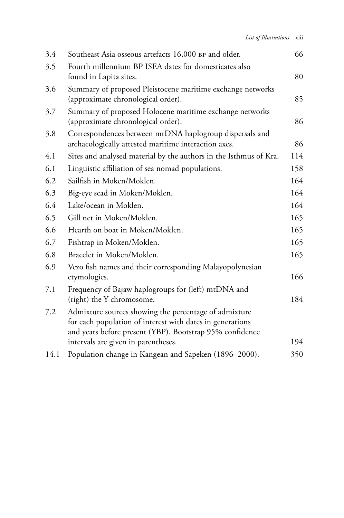| 3.4  | Southeast Asia osseous artefacts 16,000 BP and older.                                                                                                                          | 66  |
|------|--------------------------------------------------------------------------------------------------------------------------------------------------------------------------------|-----|
| 3.5  | Fourth millennium BP ISEA dates for domesticates also<br>found in Lapita sites.                                                                                                | 80  |
| 3.6  | Summary of proposed Pleistocene maritime exchange networks<br>(approximate chronological order).                                                                               | 85  |
| 3.7  | Summary of proposed Holocene maritime exchange networks<br>(approximate chronological order).                                                                                  | 86  |
| 3.8  | Correspondences between mtDNA haplogroup dispersals and<br>archaeologically attested maritime interaction axes.                                                                | 86  |
| 4.1  | Sites and analysed material by the authors in the Isthmus of Kra.                                                                                                              | 114 |
| 6.1  | Linguistic affiliation of sea nomad populations.                                                                                                                               | 158 |
| 6.2  | Sailfish in Moken/Moklen.                                                                                                                                                      | 164 |
| 6.3  | Big-eye scad in Moken/Moklen.                                                                                                                                                  | 164 |
| 6.4  | Lake/ocean in Moklen.                                                                                                                                                          | 164 |
| 6.5  | Gill net in Moken/Moklen.                                                                                                                                                      | 165 |
| 6.6  | Hearth on boat in Moken/Moklen.                                                                                                                                                | 165 |
| 6.7  | Fishtrap in Moken/Moklen.                                                                                                                                                      | 165 |
| 6.8  | Bracelet in Moken/Moklen.                                                                                                                                                      | 165 |
| 6.9  | Vezo fish names and their corresponding Malayopolynesian<br>etymologies.                                                                                                       | 166 |
| 7.1  | Frequency of Bajaw haplogroups for (left) mtDNA and<br>(right) the Y chromosome.                                                                                               | 184 |
| 7.2  | Admixture sources showing the percentage of admixture<br>for each population of interest with dates in generations<br>and years before present (YBP). Bootstrap 95% confidence |     |
|      | intervals are given in parentheses.                                                                                                                                            | 194 |
| 14.1 | Population change in Kangean and Sapeken (1896-2000).                                                                                                                          | 350 |